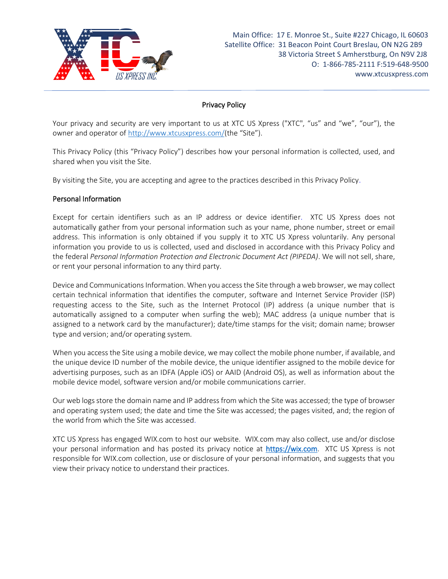

# **Privacy Policy**

Your privacy and security are very important to us at XTC US Xpress ("XTC", "us" and "we", "our"), the owner and operator of<http://www.xtcusxpress.com/>(the "Site").

This Privacy Policy (this "Privacy Policy") describes how your personal information is collected, used, and shared when you visit the Site.

By visiting the Site, you are accepting and agree to the practices described in this Privacy Policy.

### Personal Information

Except for certain identifiers such as an IP address or device identifier. XTC US Xpress does not automatically gather from your personal information such as your name, phone number, street or email address. This information is only obtained if you supply it to XTC US Xpress voluntarily. Any personal information you provide to us is collected, used and disclosed in accordance with this Privacy Policy and the federal *Personal Information Protection and Electronic Document Act (PIPEDA)*. We will not sell, share, or rent your personal information to any third party.

Device and Communications Information. When you access the Site through a web browser, we may collect certain technical information that identifies the computer, software and Internet Service Provider (ISP) requesting access to the Site, such as the Internet Protocol (IP) address (a unique number that is automatically assigned to a computer when surfing the web); MAC address (a unique number that is assigned to a network card by the manufacturer); date/time stamps for the visit; domain name; browser type and version; and/or operating system.

When you access the Site using a mobile device, we may collect the mobile phone number, if available, and the unique device ID number of the mobile device, the unique identifier assigned to the mobile device for advertising purposes, such as an IDFA (Apple iOS) or AAID (Android OS), as well as information about the mobile device model, software version and/or mobile communications carrier.

Our web logs store the domain name and IP address from which the Site was accessed; the type of browser and operating system used; the date and time the Site was accessed; the pages visited, and; the region of the world from which the Site was accessed.

XTC US Xpress has engaged WIX.com to host our website. WIX.com may also collect, use and/or disclose your personal information and has posted its privacy notice at [https://wix.com.](https://wix.com/) XTC US Xpress is not responsible for WIX.com collection, use or disclosure of your personal information, and suggests that you view their privacy notice to understand their practices.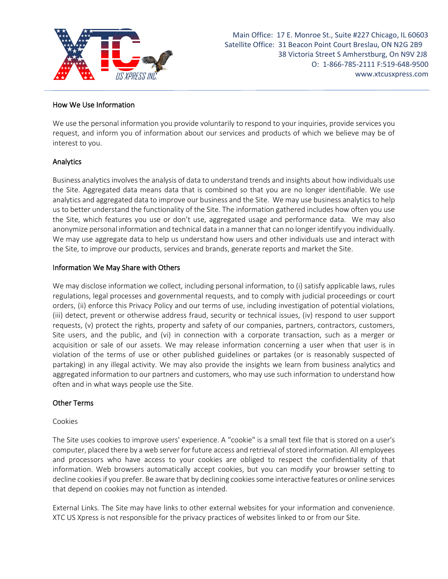

Main Office: 17 E. Monroe St., Suite #227 Chicago, IL 60603 Satellite Office: 31 Beacon Point Court Breslau, ON N2G 2B9 38 Victoria Street S Amherstburg, On N9V 2J8 O: 1-866-785-2111 F:519-648-9500 www.xtcusxpress.com

### **How We Use Information**

We use the personal information you provide voluntarily to respond to your inquiries, provide services you request, and inform you of information about our services and products of which we believe may be of interest to you.

### **Analytics**

Business analytics involves the analysis of data to understand trends and insights about how individuals use the Site. Aggregated data means data that is combined so that you are no longer identifiable. We use analytics and aggregated data to improve our business and the Site. We may use business analytics to help us to better understand the functionality of the Site. The information gathered includes how often you use the Site, which features you use or don't use, aggregated usage and performance data. We may also anonymize personal information and technical data in a manner that can no longer identify you individually. We may use aggregate data to help us understand how users and other individuals use and interact with the Site, to improve our products, services and brands, generate reports and market the Site.

### Information We May Share with Others

We may disclose information we collect, including personal information, to (i) satisfy applicable laws, rules regulations, legal processes and governmental requests, and to comply with judicial proceedings or court orders, (ii) enforce this Privacy Policy and our terms of use, including investigation of potential violations, (iii) detect, prevent or otherwise address fraud, security or technical issues, (iv) respond to user support requests, (v) protect the rights, property and safety of our companies, partners, contractors, customers, Site users, and the public, and (vi) in connection with a corporate transaction, such as a merger or acquisition or sale of our assets. We may release information concerning a user when that user is in violation of the terms of use or other published guidelines or partakes (or is reasonably suspected of partaking) in any illegal activity. We may also provide the insights we learn from business analytics and aggregated information to our partners and customers, who may use such information to understand how often and in what ways people use the Site.

### Other Terms

### Cookies

The Site uses cookies to improve users' experience. A "cookie" is a small text file that is stored on a user's computer, placed there by a web server for future access and retrieval of stored information. All employees and processors who have access to your cookies are obliged to respect the confidentiality of that information. Web browsers automatically accept cookies, but you can modify your browser setting to decline cookies if you prefer. Be aware that by declining cookies some interactive features or online services that depend on cookies may not function as intended.

External Links. The Site may have links to other external websites for your information and convenience. XTC US Xpress is not responsible for the privacy practices of websites linked to or from our Site.